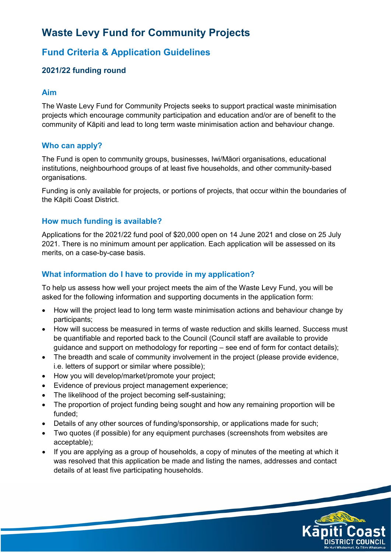# **Waste Levy Fund for Community Projects**

# **Fund Criteria & Application Guidelines**

# **2021/22 funding round**

#### **Aim**

The Waste Levy Fund for Community Projects seeks to support practical waste minimisation projects which encourage community participation and education and/or are of benefit to the community of Kāpiti and lead to long term waste minimisation action and behaviour change.

## **Who can apply?**

The Fund is open to community groups, businesses, Iwi/Māori organisations, educational institutions, neighbourhood groups of at least five households, and other community-based organisations.

Funding is only available for projects, or portions of projects, that occur within the boundaries of the Kāpiti Coast District.

#### **How much funding is available?**

Applications for the 2021/22 fund pool of \$20,000 open on 14 June 2021 and close on 25 July 2021. There is no minimum amount per application. Each application will be assessed on its merits, on a case-by-case basis.

#### **What information do I have to provide in my application?**

To help us assess how well your project meets the aim of the Waste Levy Fund, you will be asked for the following information and supporting documents in the application form:

- How will the project lead to long term waste minimisation actions and behaviour change by participants;
- How will success be measured in terms of waste reduction and skills learned. Success must be quantifiable and reported back to the Council (Council staff are available to provide guidance and support on methodology for reporting – see end of form for contact details);
- The breadth and scale of community involvement in the project (please provide evidence, i.e. letters of support or similar where possible);
- How you will develop/market/promote your project;
- Evidence of previous project management experience;
- The likelihood of the project becoming self-sustaining;
- The proportion of project funding being sought and how any remaining proportion will be funded;
- Details of any other sources of funding/sponsorship, or applications made for such:
- Two quotes (if possible) for any equipment purchases (screenshots from websites are acceptable);
- If you are applying as a group of households, a copy of minutes of the meeting at which it was resolved that this application be made and listing the names, addresses and contact details of at least five participating households.

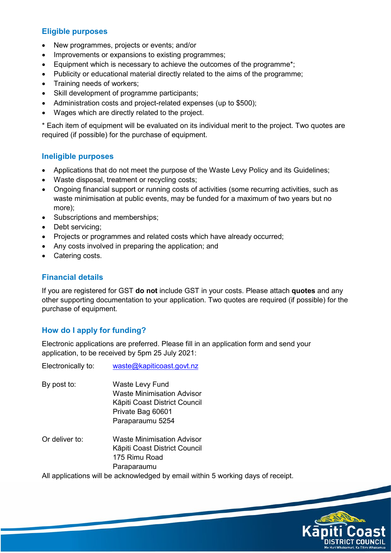#### **Eligible purposes**

- New programmes, projects or events; and/or
- Improvements or expansions to existing programmes;
- Equipment which is necessary to achieve the outcomes of the programme<sup>\*</sup>;
- Publicity or educational material directly related to the aims of the programme;
- Training needs of workers;
- Skill development of programme participants;
- Administration costs and project-related expenses (up to \$500);
- Wages which are directly related to the project.

\* Each item of equipment will be evaluated on its individual merit to the project. Two quotes are required (if possible) for the purchase of equipment.

#### **Ineligible purposes**

- Applications that do not meet the purpose of the Waste Levy Policy and its Guidelines;
- Waste disposal, treatment or recycling costs;
- Ongoing financial support or running costs of activities (some recurring activities, such as waste minimisation at public events, may be funded for a maximum of two years but no more);
- Subscriptions and memberships;
- Debt servicing:
- Projects or programmes and related costs which have already occurred;
- Any costs involved in preparing the application; and
- Catering costs.

#### **Financial details**

If you are registered for GST **do not** include GST in your costs. Please attach **quotes** and any other supporting documentation to your application. Two quotes are required (if possible) for the purchase of equipment.

## **How do I apply for funding?**

Electronic applications are preferred. Please fill in an application form and send your application, to be received by 5pm 25 July 2021:

Electronically to: [waste@kapiticoast.govt.nz](mailto:waste@kapiticoast.govt.nz)

- By post to: Waste Levy Fund Waste Minimisation Advisor Kāpiti Coast District Council Private Bag 60601 Paraparaumu 5254
- Or deliver to: Waste Minimisation Advisor Kāpiti Coast District Council 175 Rimu Road Paraparaumu

All applications will be acknowledged by email within 5 working days of receipt.